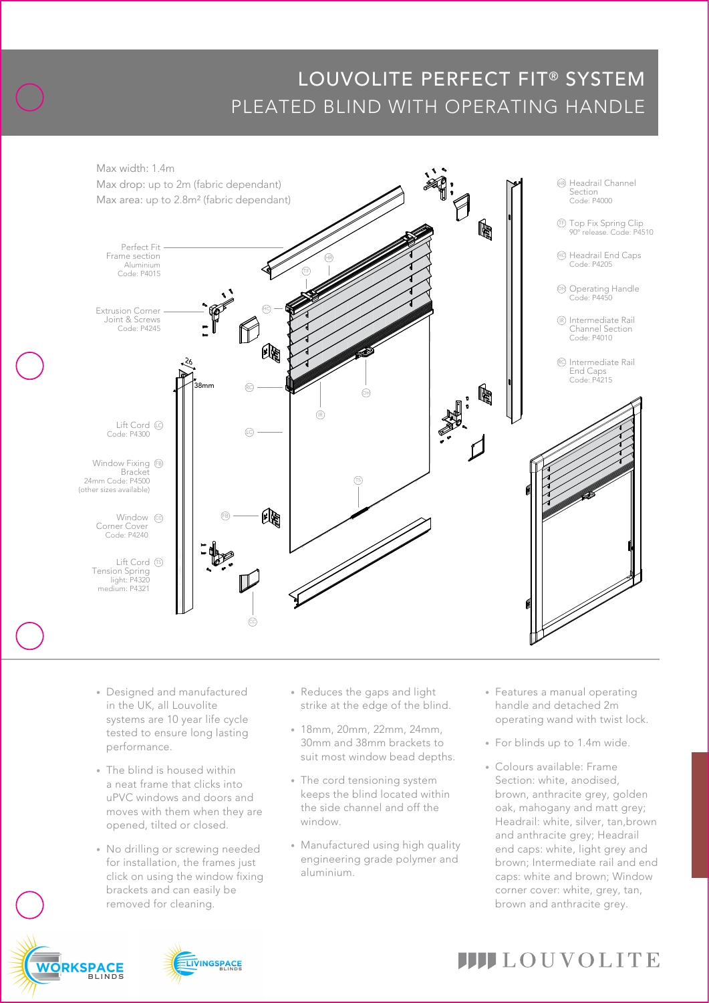# LOUVOLITE PERFECT FIT® SYSTEM PLEATED BLIND WITH OPERATING HANDLE



- in the UK, all Louvolite • Designed and manufactured systems are 10 year life cycle tested to ensure long lasting performance.
- The blind is housed within a neat frame that clicks into uPVC windows and doors and moves with them when they are opened, tilted or closed.
- No drilling or screwing needed for installation, the frames just click on using the window fixing brackets and can easily be removed for cleaning.
- strike at the edge of the blind. • Reduces the gaps and light
- 18mm, 20mm, 22mm, 24mm, 30mm and 38mm brackets to suit most window bead depths.
- The cord tensioning system keeps the blind located within the side channel and off the window.
- Manufactured using high quality engineering grade polymer and aluminium.
- handle and detached 2m • Features a manual operating operating wand with twist lock.
- For blinds up to 1.4m wide.
- Colours available: Frame Section: white, anodised, brown, anthracite grey, golden oak, mahogany and matt grey; Headrail: white, silver, tan,brown and anthracite grey; Headrail end caps: white, light grey and brown; Intermediate rail and end caps: white and brown; Window corner cover: white, grey, tan, brown and anthracite grey.





# **IIII**LOUVOLITE